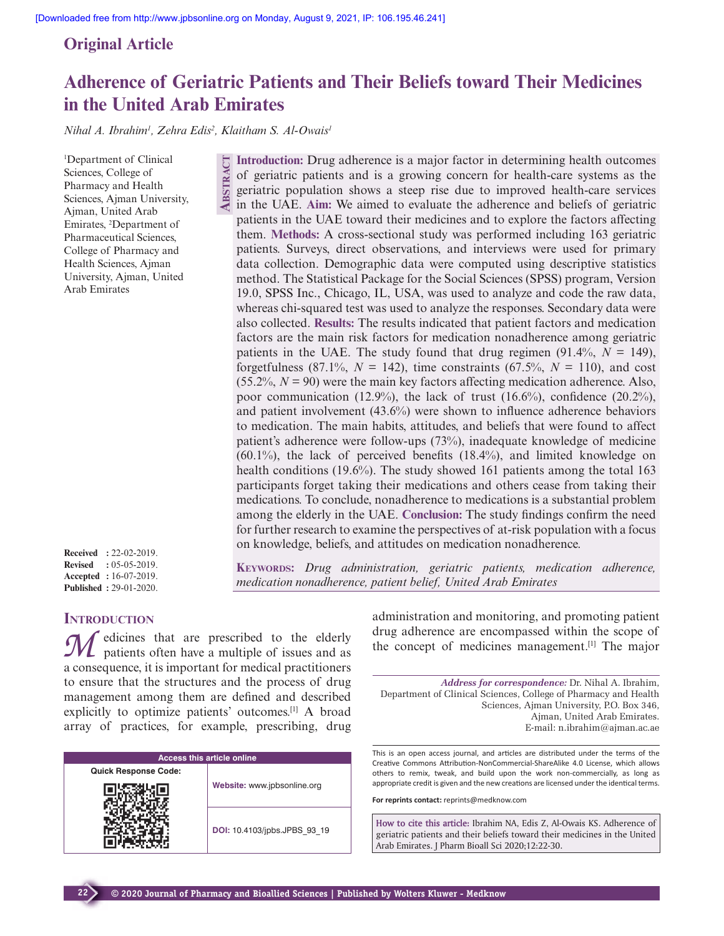# **Original Article**

# **Adherence of Geriatric Patients and Their Beliefs toward Their Medicines in the United Arab Emirates**

*Nihal A. Ibrahim<sup>1</sup> , Zehra Edis<sup>2</sup> , Klaitham S. Al-Owais<sup>1</sup>*

**ABSTR** 

<sup>1</sup>Department of Clinical Sciences, College of Pharmacy and Health Sciences, Ajman University, Ajman, United Arab Emirates, <sup>2</sup>Department of Pharmaceutical Sciences, College of Pharmacy and Health Sciences, Ajman University, Ajman, United Arab Emirates

| <b>Received</b> | $: 22 - 02 - 2019.$           |
|-----------------|-------------------------------|
| <b>Revised</b>  | $: 0.5 - 0.5 - 2019.$         |
|                 | <b>Accepted</b> : 16-07-2019. |
|                 | <b>Published: 29-01-2020.</b> |

# **INTRODUCTION**

**22**

edicines that are prescribed to the elderly patients often have a multiple of issues and as a consequence, it is important for medical practitioners to ensure that the structures and the process of drug management among them are defined and described explicitly to optimize patients' outcomes.[1] A broad array of practices, for example, prescribing, drug

| <b>Access this article online</b> |                              |  |
|-----------------------------------|------------------------------|--|
| <b>Quick Response Code:</b>       |                              |  |
|                                   | Website: www.jpbsonline.org  |  |
|                                   | DOI: 10.4103/jpbs.JPBS 93 19 |  |

**Introduction:** Drug adherence is a major factor in determining health outcomes of geriatric patients and is a growing concern for health-care systems as the geriatric population shows a steep rise due to improved health-care services in the UAE. **Aim:** We aimed to evaluate the adherence and beliefs of geriatric patients in the UAE toward their medicines and to explore the factors affecting them. **Methods:** A cross-sectional study was performed including 163 geriatric patients. Surveys, direct observations, and interviews were used for primary data collection. Demographic data were computed using descriptive statistics method. The Statistical Package for the Social Sciences (SPSS) program, Version 19.0, SPSS Inc., Chicago, IL, USA, was used to analyze and code the raw data, whereas chi-squared test was used to analyze the responses. Secondary data were also collected. **Results:** The results indicated that patient factors and medication factors are the main risk factors for medication nonadherence among geriatric patients in the UAE. The study found that drug regimen  $(91.4\%, N = 149)$ , forgetfulness  $(87.1\%, N = 142)$ , time constraints  $(67.5\%, N = 110)$ , and cost  $(55.2\%, N = 90)$  were the main key factors affecting medication adherence. Also, poor communication (12.9%), the lack of trust (16.6%), confidence (20.2%), and patient involvement (43.6%) were shown to influence adherence behaviors to medication. The main habits, attitudes, and beliefs that were found to affect patient's adherence were follow-ups (73%), inadequate knowledge of medicine  $(60.1\%)$ , the lack of perceived benefits  $(18.4\%)$ , and limited knowledge on health conditions (19.6%). The study showed 161 patients among the total 163 participants forget taking their medications and others cease from taking their medications. To conclude, nonadherence to medications is a substantial problem among the elderly in the UAE. **Conclusion:** The study findings confirm the need for further research to examine the perspectives of at-risk population with a focus on knowledge, beliefs, and attitudes on medication nonadherence.

**KEYWORDS:** *Drug administration, geriatric patients, medication adherence, medication nonadherence, patient belief, United Arab Emirates*

> administration and monitoring, and promoting patient drug adherence are encompassed within the scope of the concept of medicines management.[1] The major

*Address for correspondence:* Dr. Nihal A. Ibrahim, Department of Clinical Sciences, College of Pharmacy and Health Sciences, Ajman University, P.O. Box 346, Ajman, United Arab Emirates. E-mail: n.ibrahim@ajman.ac.ae

This is an open access journal, and articles are distributed under the terms of the Creative Commons Attribution-NonCommercial-ShareAlike 4.0 License, which allows others to remix, tweak, and build upon the work non-commercially, as long as appropriate credit is given and the new creations are licensed under the identical terms.

**For reprints contact:** reprints@medknow.com

**How to cite this article:** Ibrahim NA, Edis Z, Al-Owais KS. Adherence of geriatric patients and their beliefs toward their medicines in the United Arab Emirates. J Pharm Bioall Sci 2020;12:22-30.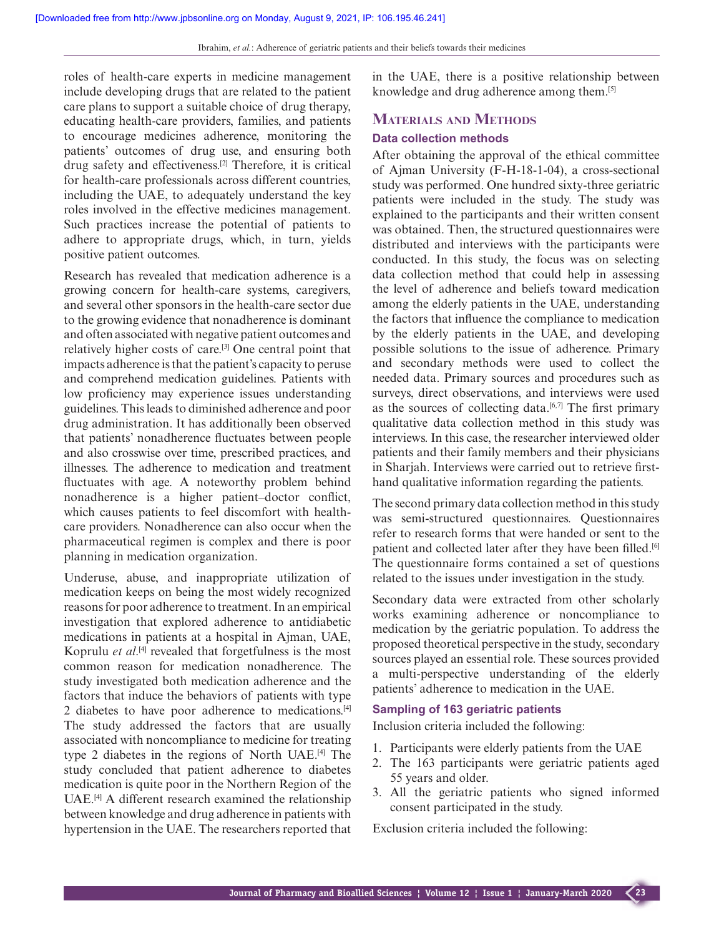roles of health-care experts in medicine management include developing drugs that are related to the patient care plans to support a suitable choice of drug therapy, educating health-care providers, families, and patients to encourage medicines adherence, monitoring the patients' outcomes of drug use, and ensuring both drug safety and effectiveness.[2] Therefore, it is critical for health-care professionals across different countries, including the UAE, to adequately understand the key roles involved in the effective medicines management. Such practices increase the potential of patients to adhere to appropriate drugs, which, in turn, yields positive patient outcomes.

Research has revealed that medication adherence is a growing concern for health-care systems, caregivers, and several other sponsors in the health-care sector due to the growing evidence that nonadherence is dominant and often associated with negative patient outcomes and relatively higher costs of care.[3] One central point that impacts adherence is that the patient's capacity to peruse and comprehend medication guidelines. Patients with low proficiency may experience issues understanding guidelines. This leads to diminished adherence and poor drug administration. It has additionally been observed that patients' nonadherence fluctuates between people and also crosswise over time, prescribed practices, and illnesses. The adherence to medication and treatment fluctuates with age. A noteworthy problem behind nonadherence is a higher patient–doctor conflict, which causes patients to feel discomfort with healthcare providers. Nonadherence can also occur when the pharmaceutical regimen is complex and there is poor planning in medication organization.

Underuse, abuse, and inappropriate utilization of medication keeps on being the most widely recognized reasons for poor adherence to treatment. In an empirical investigation that explored adherence to antidiabetic medications in patients at a hospital in Ajman, UAE, Koprulu *et al*. [4] revealed that forgetfulness is the most common reason for medication nonadherence. The study investigated both medication adherence and the factors that induce the behaviors of patients with type 2 diabetes to have poor adherence to medications.[4] The study addressed the factors that are usually associated with noncompliance to medicine for treating type 2 diabetes in the regions of North UAE.[4] The study concluded that patient adherence to diabetes medication is quite poor in the Northern Region of the UAE.[4] A different research examined the relationship between knowledge and drug adherence in patients with hypertension in the UAE. The researchers reported that

in the UAE, there is a positive relationship between knowledge and drug adherence among them.[5]

# **MATERIALS AND METHODS**

#### **Data collection methods**

After obtaining the approval of the ethical committee of Ajman University (F-H-18-1-04), a cross-sectional study was performed. One hundred sixty-three geriatric patients were included in the study. The study was explained to the participants and their written consent was obtained. Then, the structured questionnaires were distributed and interviews with the participants were conducted. In this study, the focus was on selecting data collection method that could help in assessing the level of adherence and beliefs toward medication among the elderly patients in the UAE, understanding the factors that influence the compliance to medication by the elderly patients in the UAE, and developing possible solutions to the issue of adherence. Primary and secondary methods were used to collect the needed data. Primary sources and procedures such as surveys, direct observations, and interviews were used as the sources of collecting data.<sup>[6,7]</sup> The first primary qualitative data collection method in this study was interviews. In this case, the researcher interviewed older patients and their family members and their physicians in Sharjah. Interviews were carried out to retrieve firsthand qualitative information regarding the patients.

The second primary data collection method in this study was semi-structured questionnaires. Questionnaires refer to research forms that were handed or sent to the patient and collected later after they have been filled.<sup>[6]</sup> The questionnaire forms contained a set of questions related to the issues under investigation in the study.

Secondary data were extracted from other scholarly works examining adherence or noncompliance to medication by the geriatric population. To address the proposed theoretical perspective in the study, secondary sources played an essential role. These sources provided a multi-perspective understanding of the elderly patients' adherence to medication in the UAE.

### **Sampling of 163 geriatric patients**

Inclusion criteria included the following:

- 1. Participants were elderly patients from the UAE
- 2. The 163 participants were geriatric patients aged 55 years and older.
- 3. All the geriatric patients who signed informed consent participated in the study.

Exclusion criteria included the following: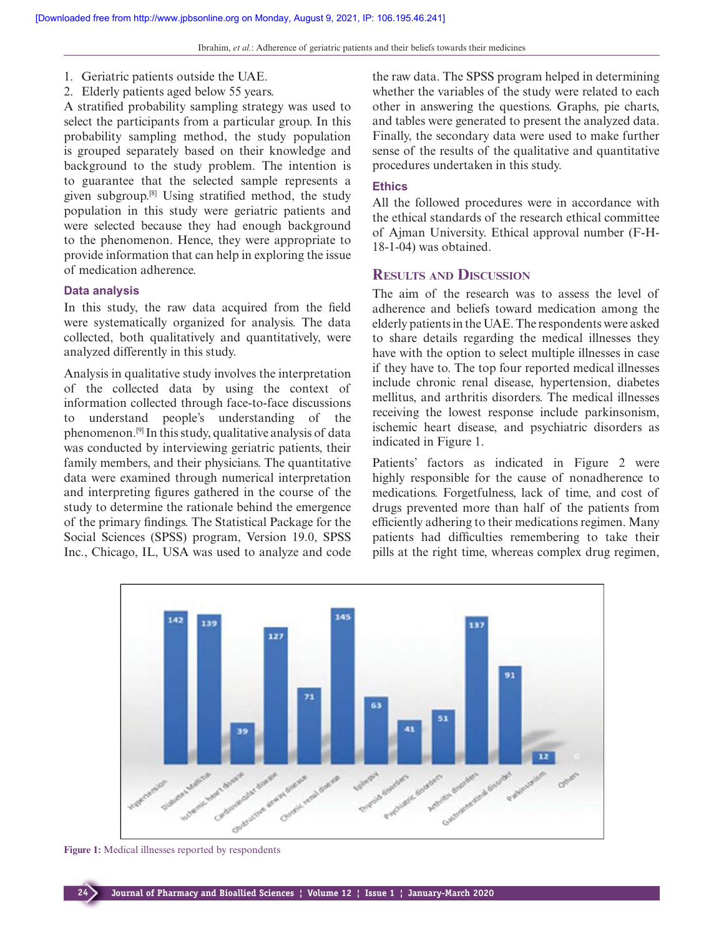- 1. Geriatric patients outside the UAE.
- 2. Elderly patients aged below 55 years.

A stratified probability sampling strategy was used to select the participants from a particular group. In this probability sampling method, the study population is grouped separately based on their knowledge and background to the study problem. The intention is to guarantee that the selected sample represents a given subgroup.[8] Using stratified method, the study population in this study were geriatric patients and were selected because they had enough background to the phenomenon. Hence, they were appropriate to provide information that can help in exploring the issue of medication adherence.

#### **Data analysis**

In this study, the raw data acquired from the field were systematically organized for analysis. The data collected, both qualitatively and quantitatively, were analyzed differently in this study.

Analysis in qualitative study involves the interpretation of the collected data by using the context of information collected through face-to-face discussions to understand people's understanding of the phenomenon.[9] In this study, qualitative analysis of data was conducted by interviewing geriatric patients, their family members, and their physicians. The quantitative data were examined through numerical interpretation and interpreting figures gathered in the course of the study to determine the rationale behind the emergence of the primary findings. The Statistical Package for the Social Sciences (SPSS) program, Version 19.0, SPSS Inc., Chicago, IL, USA was used to analyze and code

the raw data. The SPSS program helped in determining whether the variables of the study were related to each other in answering the questions. Graphs, pie charts, and tables were generated to present the analyzed data. Finally, the secondary data were used to make further sense of the results of the qualitative and quantitative procedures undertaken in this study.

# **Ethics**

All the followed procedures were in accordance with the ethical standards of the research ethical committee of Ajman University. Ethical approval number (F-H-18-1-04) was obtained.

# **RESULTS AND DISCUSSION**

The aim of the research was to assess the level of adherence and beliefs toward medication among the elderly patients in the UAE. The respondents were asked to share details regarding the medical illnesses they have with the option to select multiple illnesses in case if they have to. The top four reported medical illnesses include chronic renal disease, hypertension, diabetes mellitus, and arthritis disorders. The medical illnesses receiving the lowest response include parkinsonism, ischemic heart disease, and psychiatric disorders as indicated in Figure 1.

Patients' factors as indicated in Figure 2 were highly responsible for the cause of nonadherence to medications. Forgetfulness, lack of time, and cost of drugs prevented more than half of the patients from efficiently adhering to their medications regimen. Many patients had difficulties remembering to take their pills at the right time, whereas complex drug regimen,



**Figure 1:** Medical illnesses reported by respondents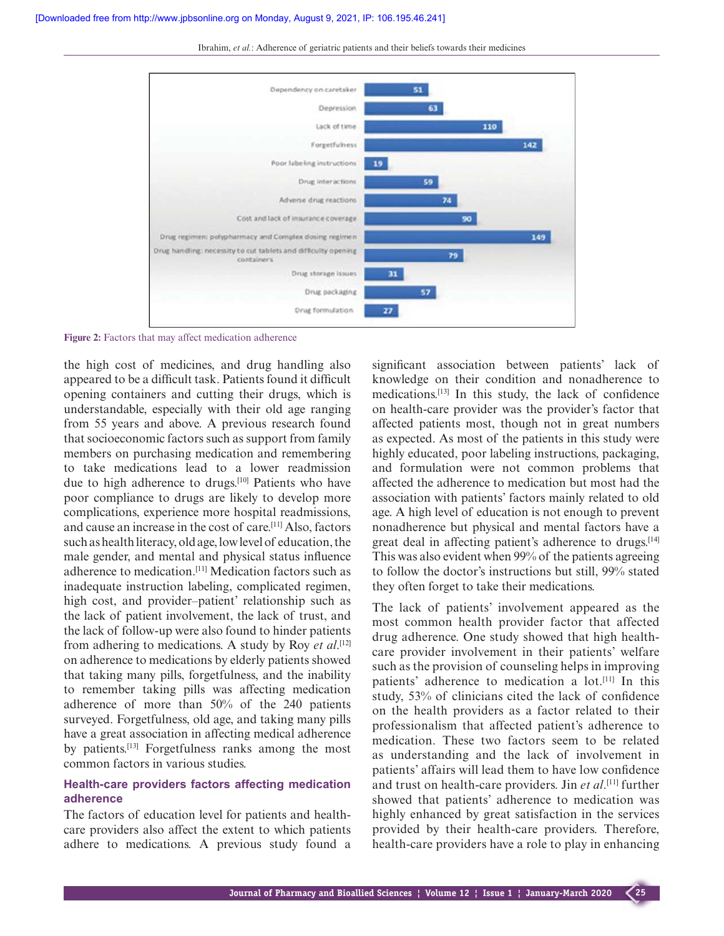

Ibrahim, *et al.*: Adherence of geriatric patients and their beliefs towards their medicines

**Figure 2:** Factors that may affect medication adherence

the high cost of medicines, and drug handling also appeared to be a difficult task. Patients found it difficult opening containers and cutting their drugs, which is understandable, especially with their old age ranging from 55 years and above. A previous research found that socioeconomic factors such as support from family members on purchasing medication and remembering to take medications lead to a lower readmission due to high adherence to drugs.[10] Patients who have poor compliance to drugs are likely to develop more complications, experience more hospital readmissions, and cause an increase in the cost of care.[11] Also, factors such as health literacy, old age, low level of education, the male gender, and mental and physical status influence adherence to medication.[11] Medication factors such as inadequate instruction labeling, complicated regimen, high cost, and provider–patient' relationship such as the lack of patient involvement, the lack of trust, and the lack of follow-up were also found to hinder patients from adhering to medications. A study by Roy *et al*. [12] on adherence to medications by elderly patients showed that taking many pills, forgetfulness, and the inability to remember taking pills was affecting medication adherence of more than 50% of the 240 patients surveyed. Forgetfulness, old age, and taking many pills have a great association in affecting medical adherence by patients.[13] Forgetfulness ranks among the most common factors in various studies.

# **Health-care providers factors affecting medication adherence**

The factors of education level for patients and healthcare providers also affect the extent to which patients adhere to medications. A previous study found a significant association between patients' lack of knowledge on their condition and nonadherence to medications.[13] In this study, the lack of confidence on health-care provider was the provider's factor that affected patients most, though not in great numbers as expected. As most of the patients in this study were highly educated, poor labeling instructions, packaging, and formulation were not common problems that affected the adherence to medication but most had the association with patients' factors mainly related to old age. A high level of education is not enough to prevent nonadherence but physical and mental factors have a great deal in affecting patient's adherence to drugs.[14] This was also evident when 99% of the patients agreeing to follow the doctor's instructions but still, 99% stated they often forget to take their medications.

The lack of patients' involvement appeared as the most common health provider factor that affected drug adherence. One study showed that high healthcare provider involvement in their patients' welfare such as the provision of counseling helps in improving patients' adherence to medication a lot.[11] In this study, 53% of clinicians cited the lack of confidence on the health providers as a factor related to their professionalism that affected patient's adherence to medication. These two factors seem to be related as understanding and the lack of involvement in patients' affairs will lead them to have low confidence and trust on health-care providers. Jin *et al*. [11] further showed that patients' adherence to medication was highly enhanced by great satisfaction in the services provided by their health-care providers. Therefore, health-care providers have a role to play in enhancing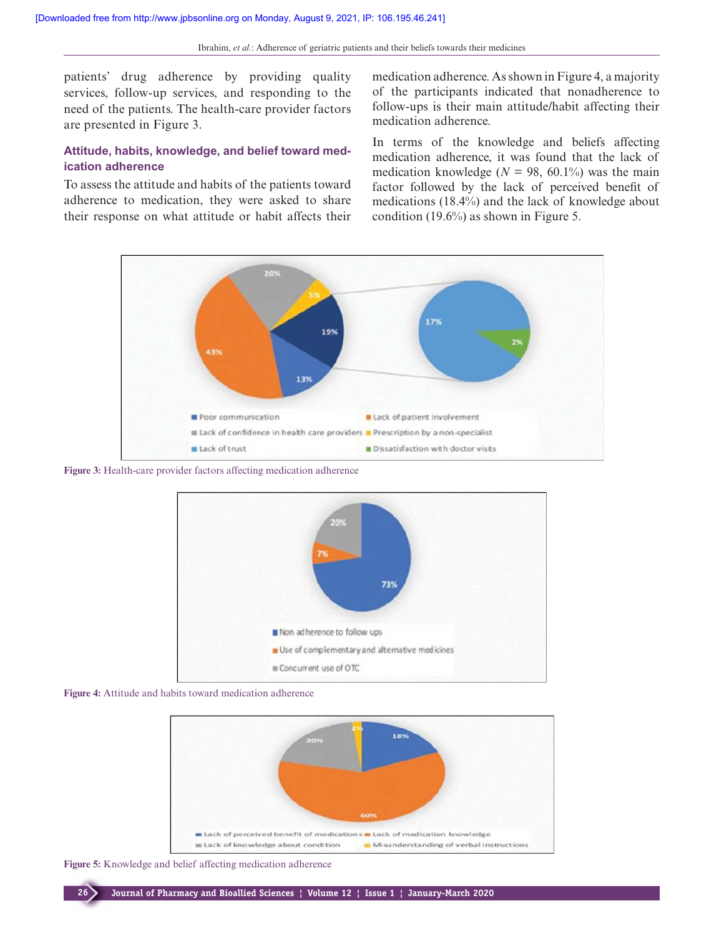patients' drug adherence by providing quality services, follow-up services, and responding to the need of the patients. The health-care provider factors are presented in Figure 3.

# **Attitude, habits, knowledge, and belief toward medication adherence**

To assess the attitude and habits of the patients toward adherence to medication, they were asked to share their response on what attitude or habit affects their medication adherence. As shown in Figure 4, a majority of the participants indicated that nonadherence to follow-ups is their main attitude/habit affecting their medication adherence.

In terms of the knowledge and beliefs affecting medication adherence, it was found that the lack of medication knowledge ( $N = 98, 60.1\%$ ) was the main factor followed by the lack of perceived benefit of medications (18.4%) and the lack of knowledge about condition (19.6%) as shown in Figure 5.



**Figure 3:** Health-care provider factors affecting medication adherence



**Figure 4:** Attitude and habits toward medication adherence



**Figure 5:** Knowledge and belief affecting medication adherence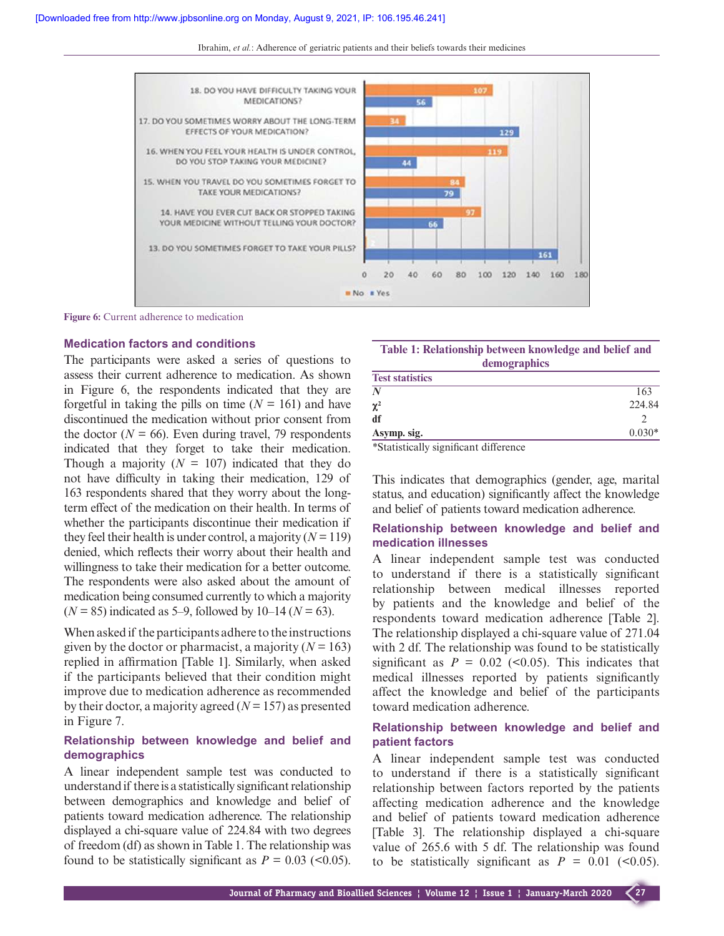Ibrahim, *et al.*: Adherence of geriatric patients and their beliefs towards their medicines



**Figure 6:** Current adherence to medication

## **Medication factors and conditions**

The participants were asked a series of questions to assess their current adherence to medication. As shown in Figure 6, the respondents indicated that they are forgetful in taking the pills on time  $(N = 161)$  and have discontinued the medication without prior consent from the doctor ( $N = 66$ ). Even during travel, 79 respondents indicated that they forget to take their medication. Though a majority  $(N = 107)$  indicated that they do not have difficulty in taking their medication, 129 of 163 respondents shared that they worry about the longterm effect of the medication on their health. In terms of whether the participants discontinue their medication if they feel their health is under control, a majority  $(N = 119)$ denied, which reflects their worry about their health and willingness to take their medication for a better outcome. The respondents were also asked about the amount of medication being consumed currently to which a majority  $(N = 85)$  indicated as 5–9, followed by 10–14 ( $N = 63$ ).

When asked if the participants adhere to the instructions given by the doctor or pharmacist, a majority  $(N = 163)$ replied in affirmation [Table 1]. Similarly, when asked if the participants believed that their condition might improve due to medication adherence as recommended by their doctor, a majority agreed (*N* = 157) as presented in Figure 7.

## **Relationship between knowledge and belief and demographics**

A linear independent sample test was conducted to understand if there is a statistically significant relationship between demographics and knowledge and belief of patients toward medication adherence. The relationship displayed a chi-square value of 224.84 with two degrees of freedom (df) as shown in Table 1. The relationship was found to be statistically significant as  $P = 0.03$  (<0.05).

**Table 1: Relationship between knowledge and belief and demographics**

| <b>Test statistics</b> |          |
|------------------------|----------|
| N                      | 163      |
| $\chi^2$               | 224.84   |
| df                     |          |
| Asymp. sig.            | $0.030*$ |
| .                      |          |

*\**Statistically significant difference

This indicates that demographics (gender, age, marital status, and education) significantly affect the knowledge and belief of patients toward medication adherence.

## **Relationship between knowledge and belief and medication illnesses**

A linear independent sample test was conducted to understand if there is a statistically significant relationship between medical illnesses reported by patients and the knowledge and belief of the respondents toward medication adherence [Table 2]. The relationship displayed a chi-square value of 271.04 with 2 df. The relationship was found to be statistically significant as  $P = 0.02$  (<0.05). This indicates that medical illnesses reported by patients significantly affect the knowledge and belief of the participants toward medication adherence.

# **Relationship between knowledge and belief and patient factors**

A linear independent sample test was conducted to understand if there is a statistically significant relationship between factors reported by the patients affecting medication adherence and the knowledge and belief of patients toward medication adherence [Table 3]. The relationship displayed a chi-square value of 265.6 with 5 df. The relationship was found to be statistically significant as  $P = 0.01$  (<0.05).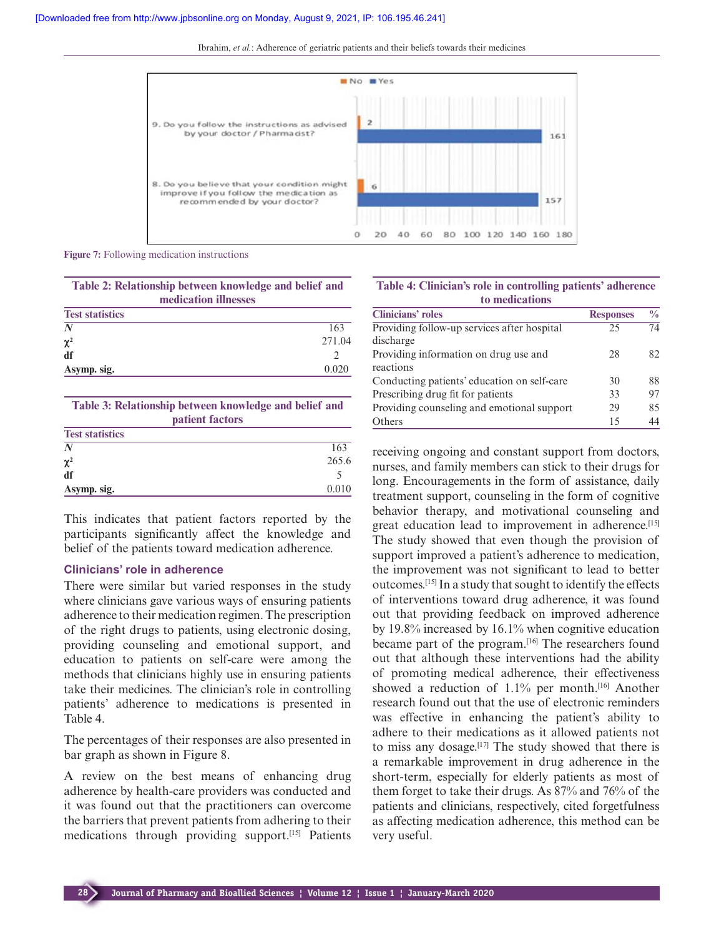Ibrahim, *et al.*: Adherence of geriatric patients and their beliefs towards their medicines



**Figure 7:** Following medication instructions

| Table 2: Relationship between knowledge and belief and |  |  |  |
|--------------------------------------------------------|--|--|--|
| medication illnesses                                   |  |  |  |
| <b>Test statistics</b>                                 |  |  |  |

| N           | 163    |
|-------------|--------|
| $\chi^2$    | 271.04 |
| df          |        |
| Asymp. sig. | 0.020  |
|             |        |

| Table 3: Relationship between knowledge and belief and<br>patient factors |       |  |
|---------------------------------------------------------------------------|-------|--|
| <b>Test statistics</b>                                                    |       |  |
| $\boldsymbol{N}$                                                          | 163   |  |
| $\chi^2$                                                                  | 265.6 |  |
| df                                                                        |       |  |
| Asymp. sig.                                                               | 0.010 |  |

This indicates that patient factors reported by the participants significantly affect the knowledge and belief of the patients toward medication adherence.

#### **Clinicians' role in adherence**

There were similar but varied responses in the study where clinicians gave various ways of ensuring patients adherence to their medication regimen. The prescription of the right drugs to patients, using electronic dosing, providing counseling and emotional support, and education to patients on self-care were among the methods that clinicians highly use in ensuring patients take their medicines. The clinician's role in controlling patients' adherence to medications is presented in Table 4.

The percentages of their responses are also presented in bar graph as shown in Figure 8.

A review on the best means of enhancing drug adherence by health-care providers was conducted and it was found out that the practitioners can overcome the barriers that prevent patients from adhering to their medications through providing support.[15] Patients

|  | Table 4: Clinician's role in controlling patients' adherence |  |
|--|--------------------------------------------------------------|--|
|  | to medications                                               |  |

| <b>Clinicians' roles</b>                    | <b>Responses</b> | $\frac{0}{0}$ |
|---------------------------------------------|------------------|---------------|
| Providing follow-up services after hospital | 25               | 74            |
| discharge                                   |                  |               |
| Providing information on drug use and       | 28               | 82.           |
| reactions                                   |                  |               |
| Conducting patients' education on self-care | 30               | 88            |
| Prescribing drug fit for patients           | 33               | 97            |
| Providing counseling and emotional support  | 29               | 85            |
| Others                                      | 15               | 44            |

receiving ongoing and constant support from doctors, nurses, and family members can stick to their drugs for long. Encouragements in the form of assistance, daily treatment support, counseling in the form of cognitive behavior therapy, and motivational counseling and great education lead to improvement in adherence.<sup>[15]</sup> The study showed that even though the provision of support improved a patient's adherence to medication, the improvement was not significant to lead to better outcomes.[15] In a study that sought to identify the effects of interventions toward drug adherence, it was found out that providing feedback on improved adherence by 19.8% increased by 16.1% when cognitive education became part of the program.<sup>[16]</sup> The researchers found out that although these interventions had the ability of promoting medical adherence, their effectiveness showed a reduction of 1.1% per month.<sup>[16]</sup> Another research found out that the use of electronic reminders was effective in enhancing the patient's ability to adhere to their medications as it allowed patients not to miss any dosage.<sup>[17]</sup> The study showed that there is a remarkable improvement in drug adherence in the short-term, especially for elderly patients as most of them forget to take their drugs. As 87% and 76% of the patients and clinicians, respectively, cited forgetfulness as affecting medication adherence, this method can be very useful.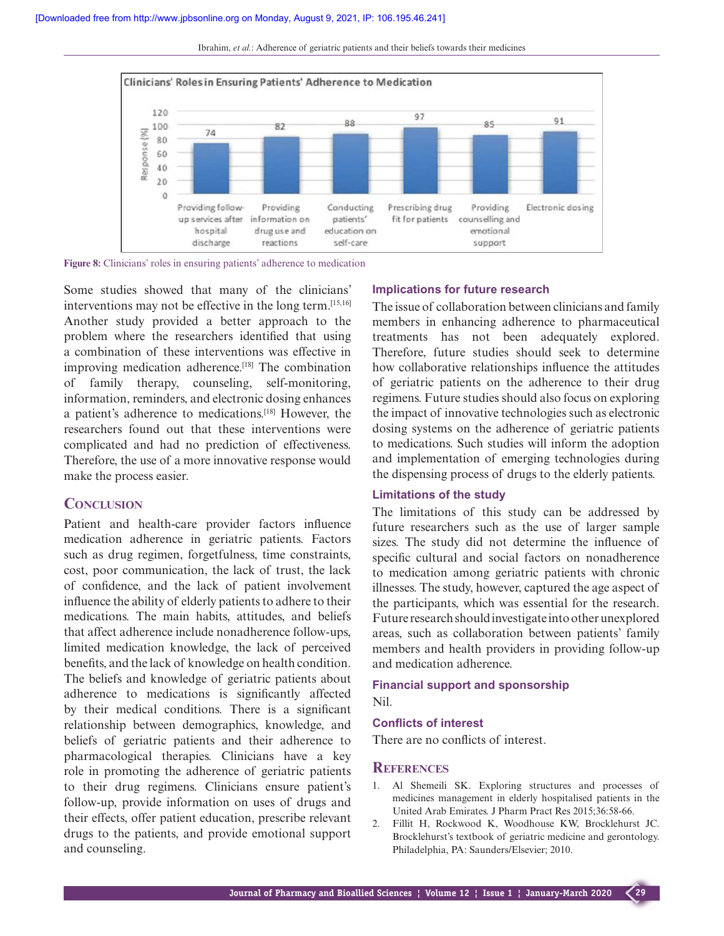

Ibrahim, *et al.*: Adherence of geriatric patients and their beliefs towards their medicines

**Figure 8:** Clinicians' roles in ensuring patients' adherence to medication

Some studies showed that many of the clinicians' interventions may not be effective in the long term.[15,16] Another study provided a better approach to the problem where the researchers identified that using a combination of these interventions was effective in improving medication adherence.[18] The combination of family therapy, counseling, self-monitoring, information, reminders, and electronic dosing enhances a patient's adherence to medications.[18] However, the researchers found out that these interventions were complicated and had no prediction of effectiveness. Therefore, the use of a more innovative response would make the process easier.

## **CONCLUSION**

Patient and health-care provider factors influence medication adherence in geriatric patients. Factors such as drug regimen, forgetfulness, time constraints, cost, poor communication, the lack of trust, the lack of confidence, and the lack of patient involvement influence the ability of elderly patients to adhere to their medications. The main habits, attitudes, and beliefs that affect adherence include nonadherence follow-ups, limited medication knowledge, the lack of perceived benefits, and the lack of knowledge on health condition. The beliefs and knowledge of geriatric patients about adherence to medications is significantly affected by their medical conditions. There is a significant relationship between demographics, knowledge, and beliefs of geriatric patients and their adherence to pharmacological therapies. Clinicians have a key role in promoting the adherence of geriatric patients to their drug regimens. Clinicians ensure patient's follow-up, provide information on uses of drugs and their effects, offer patient education, prescribe relevant drugs to the patients, and provide emotional support and counseling.

#### **Implications for future research**

The issue of collaboration between clinicians and family members in enhancing adherence to pharmaceutical treatments has not been adequately explored. Therefore, future studies should seek to determine how collaborative relationships influence the attitudes of geriatric patients on the adherence to their drug regimens. Future studies should also focus on exploring the impact of innovative technologies such as electronic dosing systems on the adherence of geriatric patients to medications. Such studies will inform the adoption and implementation of emerging technologies during the dispensing process of drugs to the elderly patients.

#### **Limitations of the study**

The limitations of this study can be addressed by future researchers such as the use of larger sample sizes. The study did not determine the influence of specific cultural and social factors on nonadherence to medication among geriatric patients with chronic illnesses. The study, however, captured the age aspect of the participants, which was essential for the research. Future research should investigate into other unexplored areas, such as collaboration between patients' family members and health providers in providing follow-up and medication adherence.

### **Financial support and sponsorship** Nil.

#### **Conflicts of interest**

There are no conflicts of interest.

### **REFERENCES**

- 1. Al Shemeili SK. Exploring structures and processes of medicines management in elderly hospitalised patients in the United Arab Emirates. J Pharm Pract Res 2015;36:58-66.
- 2. Fillit H, Rockwood K, Woodhouse KW, Brocklehurst JC. Brocklehurst's textbook of geriatric medicine and gerontology. Philadelphia, PA: Saunders/Elsevier; 2010.